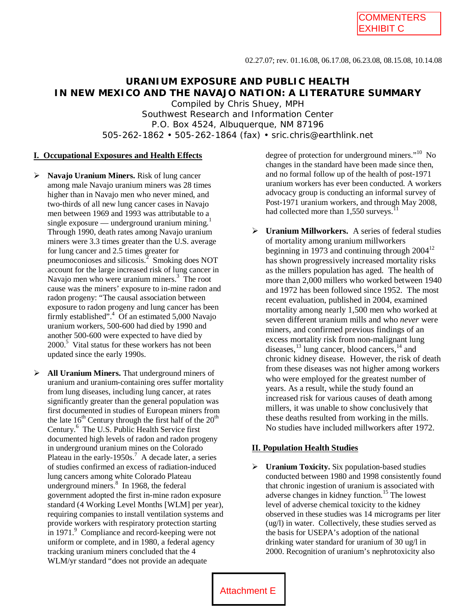# **URANIUM EXPOSURE AND PUBLIC HEALTH IN NEW MEXICO AND THE NAVAJO NATION: A LITERATURE SUMMARY**

Compiled by Chris Shuey, MPH Southwest Research and Information Center P.O. Box 4524, Albuquerque, NM 87196 505-262-1862 • 505-262-1864 (fax) • sric.chris@earthlink.net

#### **I. Occupational Exposures and Health Effects**

- **Navajo Uranium Miners.** Risk of lung cancer among male Navajo uranium miners was 28 times higher than in Navajo men who never mined, and two-thirds of all new lung cancer cases in Navajo men between 1969 and 1993 was attributable to a single exposure — underground uranium mining. $1$ Through 1990, death rates among Navajo uranium miners were 3.3 times greater than the U.S. average for lung cancer and 2.5 times greater for pneumoconioses and silicosis. $\frac{1}{2}$  Smoking does NOT account for the large increased risk of lung cancer in Navajo men who were uranium miners.<sup>3</sup> The root cause was the miners' exposure to in-mine radon and radon progeny: "The causal association between exposure to radon progeny and lung cancer has been firmly established".<sup>4</sup> Of an estimated 5,000 Navajo uranium workers, 500-600 had died by 1990 and another 500-600 were expected to have died by 2000.<sup>5</sup> Vital status for these workers has not been updated since the early 1990s.
- **All Uranium Miners.** That underground miners of uranium and uranium-containing ores suffer mortality from lung diseases, including lung cancer, at rates significantly greater than the general population was first documented in studies of European miners from the late  $16<sup>th</sup>$  Century through the first half of the  $20<sup>th</sup>$ Century.<sup>6</sup> The U.S. Public Health Service first documented high levels of radon and radon progeny in underground uranium mines on the Colorado Plateau in the early-1950s.<sup>7</sup> A decade later, a series of studies confirmed an excess of radiation-induced lung cancers among white Colorado Plateau underground miners.<sup>8</sup> In 1968, the federal government adopted the first in-mine radon exposure standard (4 Working Level Months [WLM] per year), requiring companies to install ventilation systems and provide workers with respiratory protection starting in 1971.<sup>9</sup> Compliance and record-keeping were not uniform or complete, and in 1980, a federal agency tracking uranium miners concluded that the 4 WLM/yr standard "does not provide an adequate

degree of protection for underground miners."<sup>10</sup> No changes in the standard have been made since then, and no formal follow up of the health of post-1971 uranium workers has ever been conducted. A workers advocacy group is conducting an informal survey of Post-1971 uranium workers, and through May 2008, had collected more than  $1,550$  surveys.<sup>11</sup>

 **Uranium Millworkers.** A series of federal studies of mortality among uranium millworkers beginning in 1973 and continuing through  $2004^{12}$ has shown progressively increased mortality risks as the millers population has aged. The health of more than 2,000 millers who worked between 1940 and 1972 has been followed since 1952. The most recent evaluation, published in 2004, examined mortality among nearly 1,500 men who worked at seven different uranium mills and who *never* were miners, and confirmed previous findings of an excess mortality risk from non-malignant lung diseases,  $^{13}$  lung cancer, blood cancers,  $^{14}$  and chronic kidney disease. However, the risk of death from these diseases was not higher among workers who were employed for the greatest number of years. As a result, while the study found an increased risk for various causes of death among millers, it was unable to show conclusively that these deaths resulted from working in the mills. No studies have included millworkers after 1972.

## **II. Population Health Studies**

 **Uranium Toxicity.** Six population-based studies conducted between 1980 and 1998 consistently found that chronic ingestion of uranium is associated with adverse changes in kidney function.<sup>15</sup> The lowest level of adverse chemical toxicity to the kidney observed in these studies was 14 micrograms per liter (ug/l) in water. Collectively, these studies served as the basis for USEPA's adoption of the national drinking water standard for uranium of 30 ug/l in 2000. Recognition of uranium's nephrotoxicity also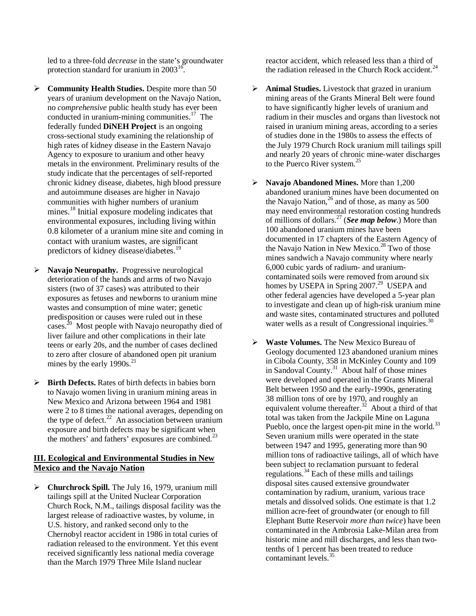led to a three-fold *decrease* in the state's groundwater protection standard for uranium in  $2003^{16}$ .

- **Community Health Studies.** Despite more than 50 years of uranium development on the Navajo Nation, no *comprehensive* public health study has ever been conducted in uranium-mining communities.<sup>17</sup> The federally funded **DiNEH Project** is an ongoing cross-sectional study examining the relationship of high rates of kidney disease in the Eastern Navajo Agency to exposure to uranium and other heavy metals in the environment. Preliminary results of the study indicate that the percentages of self-reported chronic kidney disease, diabetes, high blood pressure and autoimmune diseases are higher in Navajo communities with higher numbers of uranium mines.<sup>18</sup> Initial exposure modeling indicates that environmental exposures, including living within 0.8 kilometer of a uranium mine site and coming in contact with uranium wastes, are significant predictors of kidney disease/diabetes.<sup>19</sup>
- **Navajo Neuropathy.** Progressive neurological deterioration of the hands and arms of two Navajo sisters (two of 37 cases) was attributed to their exposures as fetuses and newborns to uranium mine wastes and consumption of mine water; genetic predisposition or causes were ruled out in these cases.<sup>20</sup> Most people with Navajo neuropathy died of liver failure and other complications in their late teens or early 20s, and the number of cases declined to zero after closure of abandoned open pit uranium mines by the early  $1990s.<sup>21</sup>$
- **Birth Defects.** Rates of birth defects in babies born to Navajo women living in uranium mining areas in New Mexico and Arizona between 1964 and 1981 were 2 to 8 times the national averages, depending on the type of defect.<sup>22</sup> An association between uranium exposure and birth defects may be significant when the mothers' and fathers' exposures are combined.<sup>23</sup>

## **III. Ecological and Environmental Studies in New Mexico and the Navajo Nation**

 **Churchrock Spill.** The July 16, 1979, uranium mill tailings spill at the United Nuclear Corporation Church Rock, N.M., tailings disposal facility was the largest release of radioactive wastes, by volume, in U.S. history, and ranked second only to the Chernobyl reactor accident in 1986 in total curies of radiation released to the environment. Yet this event received significantly less national media coverage than the March 1979 Three Mile Island nuclear

reactor accident, which released less than a third of the radiation released in the Church Rock accident. $^{24}$ 

- **Animal Studies.** Livestock that grazed in uranium mining areas of the Grants Mineral Belt were found to have significantly higher levels of uranium and radium in their muscles and organs than livestock not raised in uranium mining areas, according to a series of studies done in the 1980s to assess the effects of the July 1979 Church Rock uranium mill tailings spill and nearly 20 years of chronic mine-water discharges to the Puerco River system.<sup>25</sup>
- **Navajo Abandoned Mines.** More than 1,200 abandoned uranium mines have been documented on the Navajo Nation,<sup>26</sup> and of those, as many as 500 may need environmental restoration costing hundreds of millions of dollars. <sup>27</sup> (*See map below*.) More than 100 abandoned uranium mines have been documented in 17 chapters of the Eastern Agency of the Navajo Nation in New Mexico.<sup>28</sup> Two of those mines sandwich a Navajo community where nearly 6,000 cubic yards of radium- and uraniumcontaminated soils were removed from around six homes by USEPA in Spring  $2007.<sup>29</sup>$  USEPA and other federal agencies have developed a 5-year plan to investigate and clean up of high-risk uranium mine and waste sites, contaminated structures and polluted water wells as a result of Congressional inquiries.<sup>30</sup>
- **Waste Volumes.** The New Mexico Bureau of Geology documented 123 abandoned uranium mines in Cibola County, 358 in McKinley County and 109 in Sandoval County.<sup>31</sup> About half of those mines were developed and operated in the Grants Mineral Belt between 1950 and the early-1990s, generating 38 million tons of ore by 1970, and roughly an equivalent volume thereafter.<sup>32</sup> About a third of that total was taken from the Jackpile Mine on Laguna Pueblo, once the largest open-pit mine in the world.<sup>33</sup> Seven uranium mills were operated in the state between 1947 and 1995, generating more than 90 million tons of radioactive tailings, all of which have been subject to reclamation pursuant to federal regulations. $^{34}$  Each of these mills and tailings disposal sites caused extensive groundwater contamination by radium, uranium, various trace metals and dissolved solids. One estimate is that 1.2 million acre-feet of groundwater (or enough to fill Elephant Butte Reservoir *more than twice*) have been contaminated in the Ambrosia Lake-Milan area from historic mine and mill discharges, and less than twotenths of 1 percent has been treated to reduce contaminant levels.<sup>35</sup>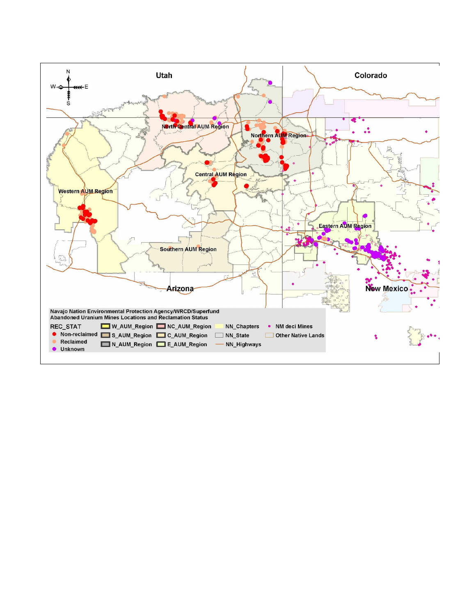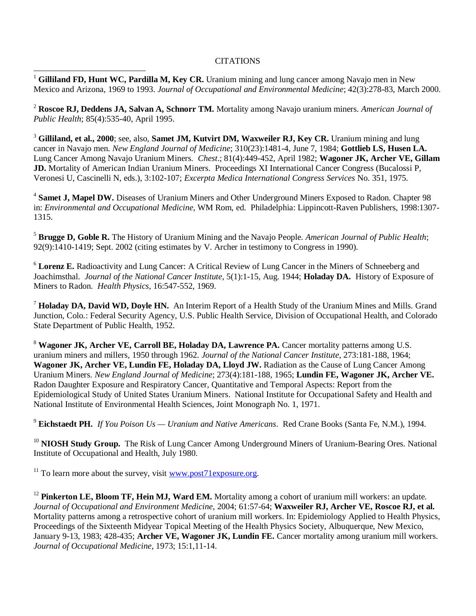## **CITATIONS**

 $\overline{a}$ <sup>1</sup> **Gilliland FD, Hunt WC, Pardilla M, Key CR.** Uranium mining and lung cancer among Navajo men in New Mexico and Arizona, 1969 to 1993. *Journal of Occupational and Environmental Medicine*; 42(3):278-83, March 2000.

<sup>2</sup> **Roscoe RJ, Deddens JA, Salvan A, Schnorr TM.** Mortality among Navajo uranium miners. *American Journal of Public Health*; 85(4):535-40, April 1995.

<sup>3</sup> **Gilliland, et al., 2000**; see, also, **Samet JM, Kutvirt DM, Waxweiler RJ, Key CR.** Uranium mining and lung cancer in Navajo men. *New England Journal of Medicine*; 310(23):1481-4, June 7, 1984; **Gottlieb LS, Husen LA.** Lung Cancer Among Navajo Uranium Miners*. Chest*.; 81(4):449-452, April 1982; **Wagoner JK, Archer VE, Gillam JD.** Mortality of American Indian Uranium Miners. Proceedings XI International Cancer Congress (Bucalossi P, Veronesi U, Cascinelli N, eds.), 3:102-107; *Excerpta Medica International Congress Services* No. 351, 1975.

<sup>4</sup> Samet J, Mapel DW. Diseases of Uranium Miners and Other Underground Miners Exposed to Radon. Chapter 98 in: *Environmental and Occupational Medicine*, WM Rom, ed. Philadelphia: Lippincott-Raven Publishers, 1998:1307- 1315.

<sup>5</sup> **Brugge D, Goble R.** The History of Uranium Mining and the Navajo People. *American Journal of Public Health*; 92(9):1410-1419; Sept. 2002 (citing estimates by V. Archer in testimony to Congress in 1990).

<sup>6</sup> **Lorenz E.** Radioactivity and Lung Cancer: A Critical Review of Lung Cancer in the Miners of Schneeberg and Joachimsthal. *Journal of the National Cancer Institute*, 5(1):1-15, Aug. 1944; **Holaday DA.** History of Exposure of Miners to Radon. *Health Physics*, 16:547-552, 1969.

<sup>7</sup> **Holaday DA, David WD, Doyle HN.** An Interim Report of a Health Study of the Uranium Mines and Mills. Grand Junction, Colo.: Federal Security Agency, U.S. Public Health Service, Division of Occupational Health, and Colorado State Department of Public Health, 1952.

<sup>8</sup> Wagoner JK, Archer VE, Carroll BE, Holaday DA, Lawrence PA. Cancer mortality patterns among U.S. uranium miners and millers, 1950 through 1962. *Journal of the National Cancer Institute*, 273:181-188, 1964; **Wagoner JK, Archer VE, Lundin FE, Holaday DA, Lloyd JW.** Radiation as the Cause of Lung Cancer Among Uranium Miners. *New England Journal of Medicine*; 273(4):181-188, 1965; **Lundin FE, Wagoner JK, Archer VE.** Radon Daughter Exposure and Respiratory Cancer, Quantitative and Temporal Aspects: Report from the Epidemiological Study of United States Uranium Miners. National Institute for Occupational Safety and Health and National Institute of Environmental Health Sciences, Joint Monograph No. 1, 1971.

<sup>9</sup> **Eichstaedt PH.** *If You Poison Us — Uranium and Native Americans*. Red Crane Books (Santa Fe, N.M.), 1994.

<sup>10</sup> **NIOSH Study Group.** The Risk of Lung Cancer Among Underground Miners of Uranium-Bearing Ores. National Institute of Occupational and Health, July 1980.

<sup>11</sup> To learn more about the survey, visit www.post71exposure.org.

<sup>12</sup> **Pinkerton LE, Bloom TF, Hein MJ, Ward EM.** Mortality among a cohort of uranium mill workers: an update. *Journal of Occupational and Environment Medicine*, 2004; 61:57-64; **Waxweiler RJ, Archer VE, Roscoe RJ, et al.** Mortality patterns among a retrospective cohort of uranium mill workers. In: Epidemiology Applied to Health Physics, Proceedings of the Sixteenth Midyear Topical Meeting of the Health Physics Society, Albuquerque, New Mexico, January 9-13, 1983; 428-435; **Archer VE, Wagoner JK, Lundin FE.** Cancer mortality among uranium mill workers. *Journal of Occupational Medicine*, 1973; 15:1,11-14.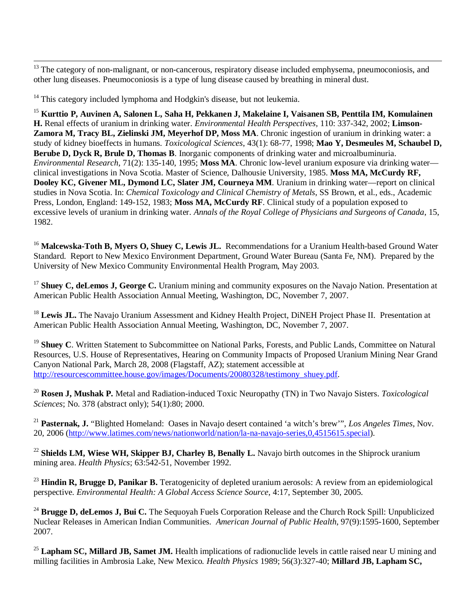$\overline{a}$ <sup>13</sup> The category of non-malignant, or non-cancerous, respiratory disease included emphysema, pneumoconiosis, and other lung diseases. Pneumoconiosis is a type of lung disease caused by breathing in mineral dust.

<sup>14</sup> This category included lymphoma and Hodgkin's disease, but not leukemia.

<sup>15</sup> **Kurttio P, Auvinen A, Salonen L, Saha H, Pekkanen J, Makelaine I, Vaisanen SB, Penttila IM, Komulainen H.** Renal effects of uranium in drinking water. *Environmental Health Perspectives,* 110: 337-342, 2002; **Limson-Zamora M, Tracy BL, Zielinski JM, Meyerhof DP, Moss MA**. Chronic ingestion of uranium in drinking water: a study of kidney bioeffects in humans. *Toxicological Sciences*, 43(1): 68-77, 1998; **Mao Y, Desmeules M, Schaubel D, Berube D, Dyck R, Brule D, Thomas B**. Inorganic components of drinking water and microalbuminuria. *Environmental Research*, 71(2): 135-140, 1995; **Moss MA**. Chronic low-level uranium exposure via drinking water clinical investigations in Nova Scotia. Master of Science, Dalhousie University, 1985. **Moss MA, McCurdy RF, Dooley KC, Givener ML, Dymond LC, Slater JM, Courneya MM**. Uranium in drinking water—report on clinical studies in Nova Scotia. In: *Chemical Toxicology and Clinical Chemistry of Metals*, SS Brown, et al., eds., Academic Press, London, England: 149-152, 1983; **Moss MA, McCurdy RF**. Clinical study of a population exposed to excessive levels of uranium in drinking water. *Annals of the Royal College of Physicians and Surgeons of Canada*, 15, 1982.

<sup>16</sup> Malcewska-Toth B, Myers O, Shuey C, Lewis JL. Recommendations for a Uranium Health-based Ground Water Standard. Report to New Mexico Environment Department, Ground Water Bureau (Santa Fe, NM). Prepared by the University of New Mexico Community Environmental Health Program, May 2003.

<sup>17</sup> **Shuey C, deLemos J, George C.** Uranium mining and community exposures on the Navajo Nation. Presentation at American Public Health Association Annual Meeting, Washington, DC, November 7, 2007.

<sup>18</sup> Lewis JL. The Navajo Uranium Assessment and Kidney Health Project, DiNEH Project Phase II. Presentation at American Public Health Association Annual Meeting, Washington, DC, November 7, 2007.

<sup>19</sup> **Shuey C**. Written Statement to Subcommittee on National Parks, Forests, and Public Lands, Committee on Natural Resources, U.S. House of Representatives, Hearing on Community Impacts of Proposed Uranium Mining Near Grand Canyon National Park, March 28, 2008 (Flagstaff, AZ); statement accessible at http://resourcescommittee.house.gov/images/Documents/20080328/testimony\_shuey.pdf.

<sup>20</sup> **Rosen J, Mushak P.** Metal and Radiation-induced Toxic Neuropathy (TN) in Two Navajo Sisters. *Toxicological Sciences*; No. 378 (abstract only); 54(1):80; 2000.

<sup>21</sup> **Pasternak, J.** "Blighted Homeland: Oases in Navajo desert contained 'a witch's brew'", *Los Angeles Times*, Nov. 20, 2006 (http://www.latimes.com/news/nationworld/nation/la-na-navajo-series,0,4515615.special).

<sup>22</sup> **Shields LM, Wiese WH, Skipper BJ, Charley B, Benally L.** Navajo birth outcomes in the Shiprock uranium mining area. *Health Physics*; 63:542-51, November 1992.

<sup>23</sup> **Hindin R, Brugge D, Panikar B.** Teratogenicity of depleted uranium aerosols: A review from an epidemiological perspective. *Environmental Health: A Global Access Science Source*, 4:17, September 30, 2005.

<sup>24</sup> Brugge D, deLemos J, Bui C. The Sequoyah Fuels Corporation Release and the Church Rock Spill: Unpublicized Nuclear Releases in American Indian Communities. *American Journal of Public Health*, 97(9):1595-1600, September 2007.

<sup>25</sup> Lapham SC, Millard JB, Samet JM. Health implications of radionuclide levels in cattle raised near U mining and milling facilities in Ambrosia Lake, New Mexico*. Health Physics* 1989; 56(3):327-40; **Millard JB, Lapham SC,**